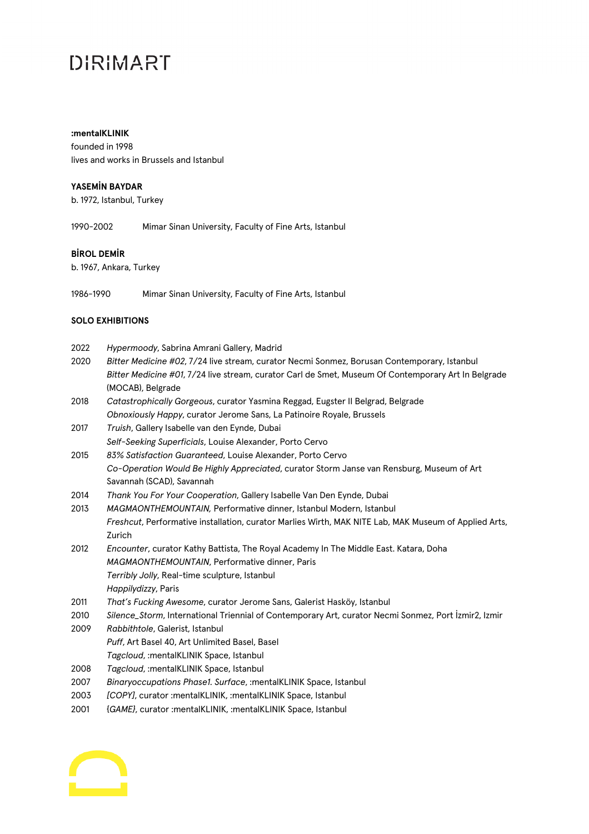## DIRIMART

#### **:mentalKLINIK**

founded in 1998 lives and works in Brussels and Istanbul

#### **YASEMİN BAYDAR**

b. 1972, Istanbul, Turkey

1990-2002 Mimar Sinan University, Faculty of Fine Arts, Istanbul

### **BİROL DEMİR**

b. 1967, Ankara, Turkey

1986-1990 Mimar Sinan University, Faculty of Fine Arts, Istanbul

#### **SOLO EXHIBITIONS**

| Hypermoody, Sabrina Amrani Gallery, Madrid |  |
|--------------------------------------------|--|
|                                            |  |

- 2020 *Bitter Medicine #02*, 7/24 live stream, curator Necmi Sonmez, Borusan Contemporary, Istanbul *Bitter Medicine #01*, 7/24 live stream, curator Carl de Smet, Museum Of Contemporary Art In Belgrade (MOCAB), Belgrade
- 2018 *Catastrophically Gorgeous*, curator Yasmina Reggad, Eugster II Belgrad, Belgrade *Obnoxiously Happy*, curator Jerome Sans, La Patinoire Royale, Brussels
- 2017 *Truish*, Gallery Isabelle van den Eynde, Dubai *Self-Seeking Superficials*, Louise Alexander, Porto Cervo
- 2015 *83% Satisfaction Guaranteed*, Louise Alexander, Porto Cervo *Co-Operation Would Be Highly Appreciated*, curator Storm Janse van Rensburg, Museum of Art Savannah (SCAD), Savannah
- 2014 *Thank You For Your Cooperation*, Gallery Isabelle Van Den Eynde, Dubai
- 2013 *MAGMAONTHEMOUNTAIN,* Performative dinner, Istanbul Modern, Istanbul *Freshcut*, Performative installation, curator Marlies Wirth, MAK NITE Lab, MAK Museum of Applied Arts, Zurich
- 2012 *Encounter*, curator Kathy Battista, The Royal Academy In The Middle East. Katara, Doha *MAGMAONTHEMOUNTAIN*, Performative dinner, Paris *Terribly Jolly*, Real-time sculpture, Istanbul *Happilydizzy*, Paris
- 2011 *That's Fucking Awesome*, curator Jerome Sans, Galerist Hasköy, Istanbul
- 2010 *Silence\_Storm*, International Triennial of Contemporary Art, curator Necmi Sonmez, Port İzmir2, Izmir
- 2009 *Rabbithtole*, Galerist, Istanbul *Puff*, Art Basel 40, Art Unlimited Basel, Basel *Tagcloud*, :mentalKLINIK Space, Istanbul
- 2008 *Tagcloud*, :mentalKLINIK Space, Istanbul
- 2007 *Binaryoccupations Phase1. Surface*, :mentalKLINIK Space, Istanbul
- 2003 *[COPY]*, curator :mentalKLINIK, :mentalKLINIK Space, Istanbul
- 2001 {*GAME}*, curator :mentalKLINIK, :mentalKLINIK Space, Istanbul

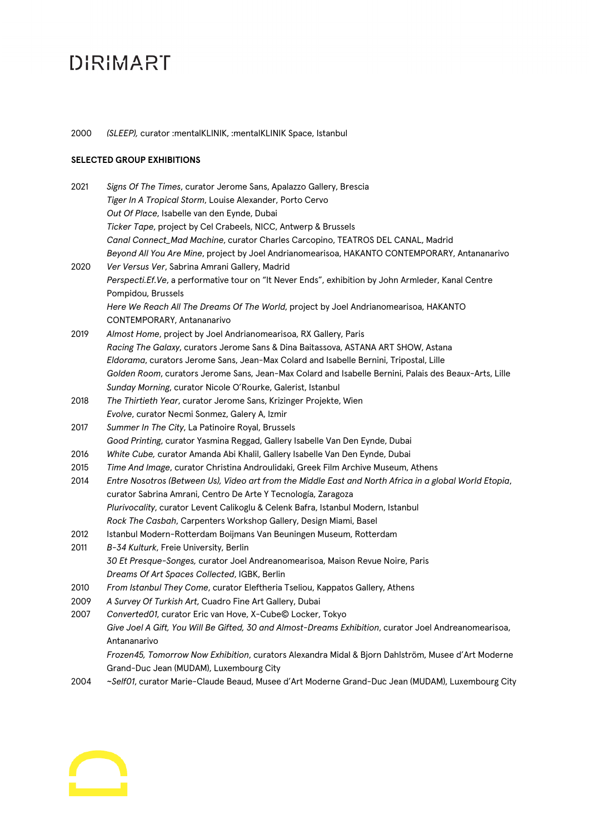# **DIRIMART**

### 2000 *(SLEEP),* curator :mentalKLINIK, :mentalKLINIK Space, Istanbul

## **SELECTED GROUP EXHIBITIONS**

| 2021 | Signs Of The Times, curator Jerome Sans, Apalazzo Gallery, Brescia                                     |
|------|--------------------------------------------------------------------------------------------------------|
|      | Tiger In A Tropical Storm, Louise Alexander, Porto Cervo                                               |
|      | Out Of Place, Isabelle van den Eynde, Dubai                                                            |
|      | Ticker Tape, project by Cel Crabeels, NICC, Antwerp & Brussels                                         |
|      | Canal Connect_Mad Machine, curator Charles Carcopino, TEATROS DEL CANAL, Madrid                        |
|      | Beyond All You Are Mine, project by Joel Andrianomearisoa, HAKANTO CONTEMPORARY, Antananarivo          |
| 2020 | Ver Versus Ver, Sabrina Amrani Gallery, Madrid                                                         |
|      | Perspecti.Ef.Ve, a performative tour on "It Never Ends", exhibition by John Armleder, Kanal Centre     |
|      | Pompidou, Brussels                                                                                     |
|      | Here We Reach All The Dreams Of The World, project by Joel Andrianomearisoa, HAKANTO                   |
|      | CONTEMPORARY, Antananarivo                                                                             |
| 2019 | Almost Home, project by Joel Andrianomearisoa, RX Gallery, Paris                                       |
|      | Racing The Galaxy, curators Jerome Sans & Dina Baitassova, ASTANA ART SHOW, Astana                     |
|      | Eldorama, curators Jerome Sans, Jean-Max Colard and Isabelle Bernini, Tripostal, Lille                 |
|      | Golden Room, curators Jerome Sans, Jean-Max Colard and Isabelle Bernini, Palais des Beaux-Arts, Lille  |
|      | Sunday Morning, curator Nicole O'Rourke, Galerist, Istanbul                                            |
| 2018 | The Thirtieth Year, curator Jerome Sans, Krizinger Projekte, Wien                                      |
|      | Evolve, curator Necmi Sonmez, Galery A, Izmir                                                          |
| 2017 | Summer In The City, La Patinoire Royal, Brussels                                                       |
|      | Good Printing, curator Yasmina Reggad, Gallery Isabelle Van Den Eynde, Dubai                           |
| 2016 | White Cube, curator Amanda Abi Khalil, Gallery Isabelle Van Den Eynde, Dubai                           |
| 2015 | Time And Image, curator Christina Androulidaki, Greek Film Archive Museum, Athens                      |
| 2014 | Entre Nosotros (Between Us), Video art from the Middle East and North Africa in a global World Etopia, |
|      | curator Sabrina Amrani, Centro De Arte Y Tecnología, Zaragoza                                          |
|      | Plurivocality, curator Levent Calikoglu & Celenk Bafra, Istanbul Modern, Istanbul                      |
|      | Rock The Casbah, Carpenters Workshop Gallery, Design Miami, Basel                                      |
| 2012 | Istanbul Modern-Rotterdam Boijmans Van Beuningen Museum, Rotterdam                                     |
| 2011 | B-34 Kulturk, Freie University, Berlin                                                                 |
|      | 30 Et Presque-Songes, curator Joel Andreanomearisoa, Maison Revue Noire, Paris                         |
|      | Dreams Of Art Spaces Collected, IGBK, Berlin                                                           |
| 2010 | From Istanbul They Come, curator Eleftheria Tseliou, Kappatos Gallery, Athens                          |
| 2009 | A Survey Of Turkish Art, Cuadro Fine Art Gallery, Dubai                                                |
| 2007 | Converted01, curator Eric van Hove, X-Cube© Locker, Tokyo                                              |
|      | Give Joel A Gift, You Will Be Gifted, 30 and Almost-Dreams Exhibition, curator Joel Andreanomearisoa,  |
|      | Antananarivo                                                                                           |
|      | Frozen45, Tomorrow Now Exhibition, curators Alexandra Midal & Bjorn Dahlström, Musee d'Art Moderne     |
|      | Grand-Duc Jean (MUDAM), Luxembourg City                                                                |

2004 *~Self01*, curator Marie-Claude Beaud, Musee d'Art Moderne Grand-Duc Jean (MUDAM), Luxembourg City